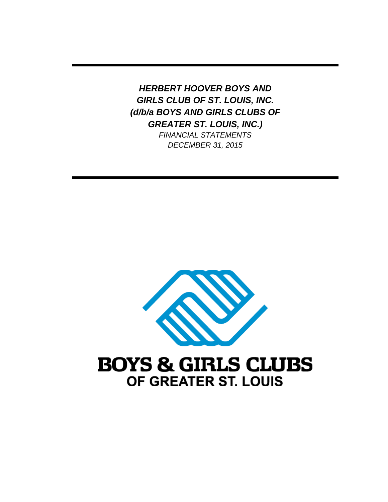*HERBERT HOOVER BOYS AND GIRLS CLUB OF ST. LOUIS, INC. (d/b/a BOYS AND GIRLS CLUBS OF GREATER ST. LOUIS, INC.)* 

*FINANCIAL STATEMENTS DECEMBER 31, 2015* 



**BOYS & GIRLS CLUBS** OF GREATER ST. LOUIS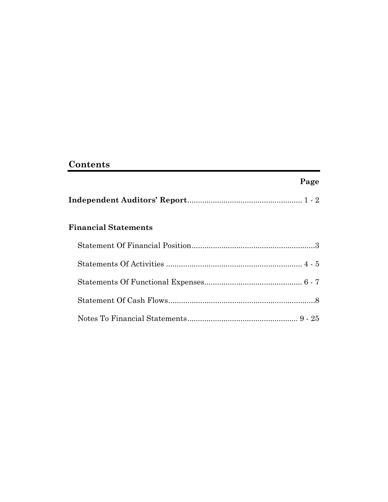# **Contents**

# **Page**

|--|--|--|

## **Financial Statements**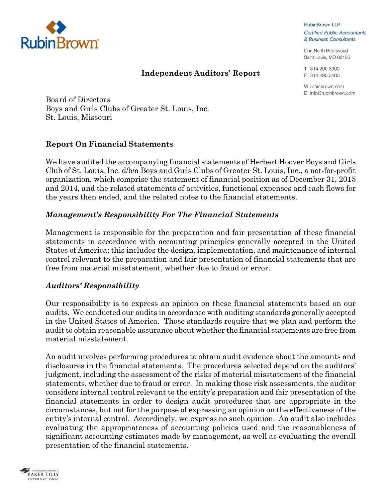

## **Independent Auditors' Report**

**RubinBrown LLP Certified Public Accountants** & Business Consultants

One North Brentwood Saint Louis, MO 63105

T 314.290.3300 F 314.290.3400

W rubinbrown.com  $E$  info@rubinbrown.com

Board of Directors Boys and Girls Clubs of Greater St. Louis, Inc. St. Louis, Missouri

## **Report On Financial Statements**

We have audited the accompanying financial statements of Herbert Hoover Boys and Girls Club of St. Louis, Inc. d/b/a Boys and Girls Clubs of Greater St. Louis, Inc., a not-for-profit organization, which comprise the statement of financial position as of December 31, 2015 and 2014, and the related statements of activities, functional expenses and cash flows for the years then ended, and the related notes to the financial statements.

## *Management's Responsibility For The Financial Statements*

Management is responsible for the preparation and fair presentation of these financial statements in accordance with accounting principles generally accepted in the United States of America; this includes the design, implementation, and maintenance of internal control relevant to the preparation and fair presentation of financial statements that are free from material misstatement, whether due to fraud or error.

## *Auditors' Responsibility*

Our responsibility is to express an opinion on these financial statements based on our audits. We conducted our audits in accordance with auditing standards generally accepted in the United States of America. Those standards require that we plan and perform the audit to obtain reasonable assurance about whether the financial statements are free from material misstatement.

An audit involves performing procedures to obtain audit evidence about the amounts and disclosures in the financial statements. The procedures selected depend on the auditors' judgment, including the assessment of the risks of material misstatement of the financial statements, whether due to fraud or error. In making those risk assessments, the auditor considers internal control relevant to the entity's preparation and fair presentation of the financial statements in order to design audit procedures that are appropriate in the circumstances, but not for the purpose of expressing an opinion on the effectiveness of the entity's internal control. Accordingly, we express no such opinion. An audit also includes evaluating the appropriateness of accounting policies used and the reasonableness of significant accounting estimates made by management, as well as evaluating the overall presentation of the financial statements.

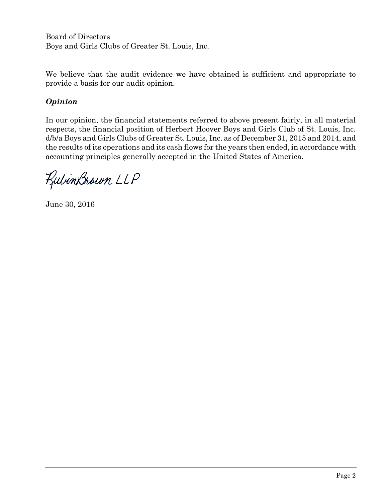We believe that the audit evidence we have obtained is sufficient and appropriate to provide a basis for our audit opinion.

## *Opinion*

In our opinion, the financial statements referred to above present fairly, in all material respects, the financial position of Herbert Hoover Boys and Girls Club of St. Louis, Inc. d/b/a Boys and Girls Clubs of Greater St. Louis, Inc. as of December 31, 2015 and 2014, and the results of its operations and its cash flows for the years then ended, in accordance with accounting principles generally accepted in the United States of America.

RubinBrown LLP

June 30, 2016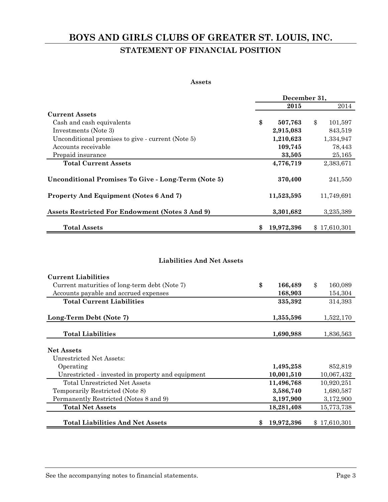# **BOYS AND GIRLS CLUBS OF GREATER ST. LOUIS, INC. STATEMENT OF FINANCIAL POSITION**

#### **Assets**

|                                                            | December 31,     |               |  |  |  |
|------------------------------------------------------------|------------------|---------------|--|--|--|
|                                                            | 2015             | 2014          |  |  |  |
| <b>Current Assets</b>                                      |                  |               |  |  |  |
| Cash and cash equivalents                                  | \$<br>507,763    | \$<br>101,597 |  |  |  |
| Investments (Note 3)                                       | 2,915,083        | 843,519       |  |  |  |
| Unconditional promises to give - current (Note 5)          | 1,210,623        | 1,334,947     |  |  |  |
| Accounts receivable                                        | 109,745          | 78,443        |  |  |  |
| Prepaid insurance                                          | 33,505           | 25,165        |  |  |  |
| <b>Total Current Assets</b>                                | 4,776,719        | 2,383,671     |  |  |  |
| <b>Unconditional Promises To Give - Long-Term (Note 5)</b> | 370,400          | 241,550       |  |  |  |
| <b>Property And Equipment (Notes 6 And 7)</b>              | 11,523,595       | 11,749,691    |  |  |  |
| Assets Restricted For Endowment (Notes 3 And 9)            | 3,301,682        | 3,235,389     |  |  |  |
| <b>Total Assets</b>                                        | 19,972,396<br>\$ | \$17,610,301  |  |  |  |

#### **Liabilities And Net Assets**

| <b>Current Liabilities</b>                        |    |            |               |
|---------------------------------------------------|----|------------|---------------|
| Current maturities of long-term debt (Note 7)     | \$ | 166,489    | \$<br>160,089 |
| Accounts payable and accrued expenses             |    | 168,903    | 154,304       |
| <b>Total Current Liabilities</b>                  |    | 335,392    | 314,393       |
|                                                   |    |            |               |
| Long-Term Debt (Note 7)                           |    | 1,355,596  | 1,522,170     |
|                                                   |    |            |               |
| <b>Total Liabilities</b>                          |    | 1,690,988  | 1,836,563     |
|                                                   |    |            |               |
| <b>Net Assets</b>                                 |    |            |               |
| Unrestricted Net Assets:                          |    |            |               |
| Operating                                         |    | 1,495,258  | 852,819       |
| Unrestricted - invested in property and equipment |    | 10,001,510 | 10,067,432    |
| <b>Total Unrestricted Net Assets</b>              |    | 11,496,768 | 10,920,251    |
| Temporarily Restricted (Note 8)                   |    | 3,586,740  | 1,680,587     |
| Permanently Restricted (Notes 8 and 9)            |    | 3,197,900  | 3,172,900     |
| <b>Total Net Assets</b>                           |    | 18,281,408 | 15,773,738    |
|                                                   |    |            |               |
| <b>Total Liabilities And Net Assets</b>           | S. | 19,972,396 | \$17,610,301  |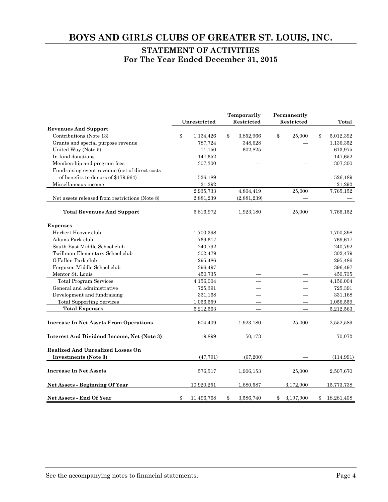### **STATEMENT OF ACTIVITIES For The Year Ended December 31, 2015**

|                                                | Unrestricted |            | Temporarily<br>Restricted |             | Permanently<br>Restricted | Total |            |
|------------------------------------------------|--------------|------------|---------------------------|-------------|---------------------------|-------|------------|
| <b>Revenues And Support</b>                    |              |            |                           |             |                           |       |            |
| Contributions (Note 13)                        | \$           | 1,134,426  | \$                        | 3,852,966   | \$<br>25,000              | \$    | 5,012,392  |
| Grants and special purpose revenue             |              | 787,724    |                           | 348,628     |                           |       | 1,136,352  |
| United Way (Note 5)                            |              | 11,150     |                           | 602,825     |                           |       | 613,975    |
| In-kind donations                              |              | 147,652    |                           |             |                           |       | 147,652    |
| Membership and program fees                    |              | 307,300    |                           |             |                           |       | 307,300    |
| Fundraising event revenue (net of direct costs |              |            |                           |             |                           |       |            |
| of benefits to donors of \$179,964)            |              | 526,189    |                           |             |                           |       | 526,189    |
| Miscellaneous income                           |              | 21,292     |                           |             |                           |       | 21,292     |
|                                                |              | 2,935,733  |                           | 4,804,419   | 25,000                    |       | 7,765,152  |
| Net assets released from restrictions (Note 8) |              | 2,881,239  |                           | (2,881,239) |                           |       |            |
| <b>Total Revenues And Support</b>              |              | 5,816,972  |                           | 1,923,180   | 25,000                    |       | 7,765,152  |
| <b>Expenses</b>                                |              |            |                           |             |                           |       |            |
| Herbert Hoover club                            |              | 1,700,398  |                           |             |                           |       | 1,700,398  |
| Adams Park club                                |              | 769,617    |                           |             |                           |       | 769,617    |
| South East Middle School club                  |              | 240,792    |                           |             |                           |       | 240,792    |
| Twillman Elementary School club                |              | 302,479    |                           |             |                           |       | 302,479    |
| O'Fallon Park club                             |              | 295,486    |                           |             |                           |       | 295,486    |
| Ferguson Middle School club                    |              | 396,497    |                           |             |                           |       | 396,497    |
| Mentor St. Louis                               |              | 450,735    |                           |             |                           |       | 450,735    |
| <b>Total Program Services</b>                  |              | 4,156,004  |                           |             |                           |       | 4,156,004  |
| General and administrative                     |              | 725,391    |                           |             |                           |       | 725,391    |
| Development and fundraising                    |              | 331,168    |                           |             |                           |       | 331,168    |
| <b>Total Supporting Services</b>               |              | 1,056,559  |                           |             |                           |       | 1,056,559  |
| <b>Total Expenses</b>                          |              | 5,212,563  |                           |             |                           |       | 5,212,563  |
| <b>Increase In Net Assets From Operations</b>  |              | 604,409    |                           | 1,923,180   | 25,000                    |       | 2,552,589  |
| Interest And Dividend Income, Net (Note 3)     |              | 19,899     |                           | 50,173      |                           |       | 70,072     |
| <b>Realized And Unrealized Losses On</b>       |              |            |                           |             |                           |       |            |
| <b>Investments (Note 3)</b>                    |              | (47, 791)  |                           | (67, 200)   |                           |       | (114, 991) |
|                                                |              |            |                           |             |                           |       |            |
| <b>Increase In Net Assets</b>                  |              | 576,517    |                           | 1,906,153   | 25,000                    |       | 2,507,670  |
| Net Assets - Beginning Of Year                 |              | 10,920,251 |                           | 1,680,587   | 3,172,900                 |       | 15,773,738 |
| Net Assets - End Of Year                       | \$           | 11,496,768 | \$                        | 3,586,740   | \$<br>3,197,900           | \$    | 18,281,408 |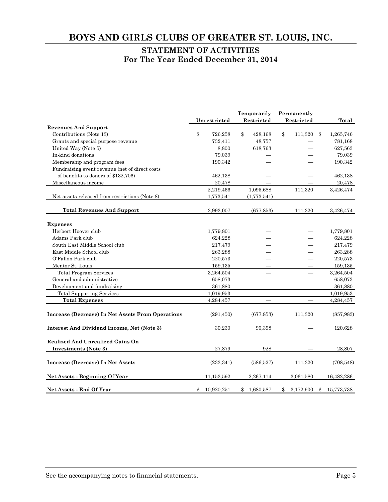### **STATEMENT OF ACTIVITIES For The Year Ended December 31, 2014**

|                                                          | Unrestricted     | Temporarily<br>Restricted |                          | Permanently<br>Restricted |                          | Total            |
|----------------------------------------------------------|------------------|---------------------------|--------------------------|---------------------------|--------------------------|------------------|
| <b>Revenues And Support</b>                              |                  |                           |                          |                           |                          |                  |
| Contributions (Note 13)                                  | \$<br>726,258    | \$                        | 428,168                  | \$                        | 111,320                  | \$<br>1,265,746  |
| Grants and special purpose revenue                       | 732,411          |                           | 48,757                   |                           |                          | 781,168          |
| United Way (Note 5)                                      | 8,800            |                           | 618,763                  |                           |                          | 627,563          |
| In-kind donations                                        | 79,039           |                           |                          |                           |                          | 79,039           |
| Membership and program fees                              | 190,342          |                           |                          |                           |                          | 190,342          |
| Fundraising event revenue (net of direct costs           |                  |                           |                          |                           |                          |                  |
| of benefits to donors of \$132,706)                      | 462,138          |                           |                          |                           |                          | 462,138          |
| Miscellaneous income                                     | 20,478           |                           |                          |                           |                          | 20,478           |
|                                                          | 2,219,466        |                           | 1,095,688                |                           | 111,320                  | 3,426,474        |
| Net assets released from restrictions (Note 8)           | 1,773,541        |                           | (1,773,541)              |                           |                          |                  |
| <b>Total Revenues And Support</b>                        | 3,993,007        |                           | (677, 853)               |                           | 111,320                  | 3,426,474        |
| <b>Expenses</b>                                          |                  |                           |                          |                           |                          |                  |
| Herbert Hoover club                                      | 1,779,801        |                           |                          |                           |                          | 1,779,801        |
| Adams Park club                                          | 624,228          |                           |                          |                           |                          | 624,228          |
| South East Middle School club                            | 217,479          |                           |                          |                           |                          | 217,479          |
| East Middle School club                                  | 263,288          |                           |                          |                           |                          | 263,288          |
| O'Fallon Park club                                       | 220,573          |                           |                          |                           |                          | 220,573          |
| Mentor St. Louis                                         | 159,135          |                           |                          |                           |                          | 159,135          |
| <b>Total Program Services</b>                            | 3,264,504        |                           | $\overline{\phantom{0}}$ |                           | $\overline{\phantom{0}}$ | 3,264,504        |
| General and administrative                               | 658,073          |                           |                          |                           |                          | 658,073          |
| Development and fundraising                              | 361,880          |                           |                          |                           |                          | 361,880          |
| <b>Total Supporting Services</b>                         | 1,019,953        |                           |                          |                           |                          | 1,019,953        |
| <b>Total Expenses</b>                                    | 4,284,457        |                           | $\overline{\phantom{m}}$ |                           | $\overline{\phantom{0}}$ | 4,284,457        |
| <b>Increase (Decrease) In Net Assets From Operations</b> | (291, 450)       |                           | (677, 853)               |                           | 111,320                  | (857, 983)       |
| <b>Interest And Dividend Income, Net (Note 3)</b>        | 30,230           |                           | 90,398                   |                           |                          | 120,628          |
| <b>Realized And Unrealized Gains On</b>                  |                  |                           |                          |                           |                          |                  |
| <b>Investments (Note 3)</b>                              | 27,879           |                           | 928                      |                           |                          | 28,807           |
|                                                          |                  |                           |                          |                           |                          |                  |
| <b>Increase (Decrease) In Net Assets</b>                 | (233, 341)       |                           | (586, 527)               |                           | 111,320                  | (708, 548)       |
| Net Assets - Beginning Of Year                           | 11,153,592       |                           | 2,267,114                |                           | 3,061,580                | 16,482,286       |
| Net Assets - End Of Year                                 | \$<br>10,920,251 | \$                        | 1,680,587                | \$                        | 3,172,900                | \$<br>15,773,738 |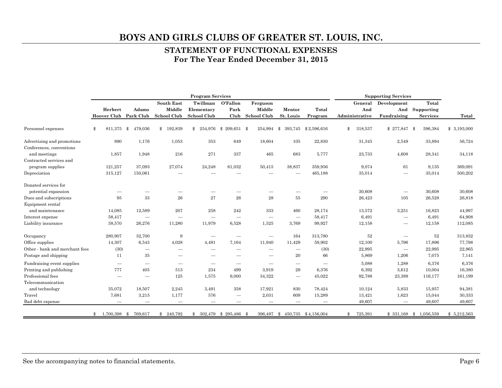#### **STATEMENT OF FUNCTIONAL EXPENSES For The Year Ended December 31, 2015**

|                                                        |                          |                   |                          | <b>Program Services</b>         |                       |                          |                               |                     | <b>Supporting Services</b> |                                 |                       |              |
|--------------------------------------------------------|--------------------------|-------------------|--------------------------|---------------------------------|-----------------------|--------------------------|-------------------------------|---------------------|----------------------------|---------------------------------|-----------------------|--------------|
|                                                        |                          |                   | <b>South East</b>        | Twillman                        | O'Fallon              | Ferguson                 |                               |                     | General                    | Development                     | Total                 |              |
|                                                        | Herbert                  | Adams             | Middle                   | Elementary                      | Park                  | Middle                   | Mentor                        | Total               | And                        | And                             | Supporting            |              |
|                                                        | <b>Hoover Club</b>       | Park Club         | School Club              | School Club                     | Club                  | <b>School Club</b>       | St. Louis                     | Program             | Administrative             | Fundraising                     | <b>Services</b>       | Total        |
| Personnel expenses                                     | $\mathbf{\$}$<br>811,375 | \$<br>479,036     | 192,839<br>\$            | \$                              | 254,976 \$ 209,651 \$ | 254,994                  | \$                            | 393,745 \$2,596,616 | 318,537<br>\$              | $$277,847$ \$                   | 596,384               | \$ 3,193,000 |
| Advertising and promotions<br>Conferences, conventions | 890                      | 1,176             | 1,053                    | 353                             | 649                   | 18,604                   | 105                           | 22,830              | 31,345                     | 2,549                           | 33,894                | 56,724       |
| and meetings                                           | 1,857                    | 1,948             | 216                      | 271                             | 337                   | 465                      | 683                           | 5,777               | 23,733                     | 4,608                           | 28,341                | 34,118       |
| Contracted services and                                |                          |                   |                          |                                 |                       |                          |                               |                     |                            |                                 |                       |              |
| program supplies                                       | 121,257                  | 37,093            | 27,074                   | 24,248                          | 61,032                | 50,415                   | 38,837                        | 359,956             | 9,074                      | 61                              | 9,135                 | 369,091      |
| Depreciation                                           | 315,127                  | 150,061           |                          |                                 |                       |                          |                               | 465,188             | 35,014                     | $\overline{\phantom{m}}$        | 35,014                | 500,202      |
| Donated services for                                   |                          |                   |                          |                                 |                       |                          |                               |                     |                            |                                 |                       |              |
| potential expansion                                    |                          | $\sim$            |                          |                                 |                       |                          |                               |                     | 30,608                     | $\qquad \qquad$                 | 30,608                | 30,608       |
| Dues and subscriptions                                 | 95                       | 33                | 26                       | 27                              | 26                    | 28                       | 55                            | 290                 | 26,423                     | 105                             | 26,528                | 26,818       |
| Equipment rental                                       |                          |                   |                          |                                 |                       |                          |                               |                     |                            |                                 |                       |              |
| and maintenance                                        | 14,085                   | 12,589            | 207                      | 258                             | 242                   | 333                      | 460                           | 28,174              | 13,572                     | 3,251                           | 16,823                | 44,997       |
| Interest expense                                       | 58,417                   | $\hspace{0.05cm}$ |                          |                                 |                       |                          |                               | 58,417              | 6,491                      |                                 | 6,491                 | 64,908       |
| Liability insurance                                    | 38,570                   | 26,276            | 11,280                   | 11,979                          | 6,528                 | 1,525                    | 3,769                         | 99,927              | 12,158                     | $\overline{\phantom{0}}$        | 12,158                | 112,085      |
| Occupancy                                              | 280,907                  | 32,700            | 9                        | $\hspace{0.1mm}-\hspace{0.1mm}$ | $\qquad \qquad$       | $\overline{\phantom{m}}$ | 164                           | 313,780             | 52                         | $\hspace{0.1mm}-\hspace{0.1mm}$ | 52                    | 313,832      |
| Office supplies                                        | 14,307                   | 6,543             | 4,028                    | 4,491                           | 7,164                 | 11,940                   | 11,429                        | 59,902              | 12,100                     | 5,796                           | 17,896                | 77,798       |
| Other - bank and merchant fees                         | (30)                     | $\hspace{0.05cm}$ | $\overline{\phantom{0}}$ |                                 | –                     | $\overline{\phantom{a}}$ | $\overline{\phantom{0}}$      | (30)                | 22,995                     | $\overline{\phantom{m}}$        | 22,995                | $22,\!965$   |
| Postage and shipping                                   | 11                       | 35                |                          |                                 |                       |                          | 20                            | 66                  | 5,869                      | 1,206                           | 7,075                 | 7,141        |
| Fundraising event supplies                             | $\longrightarrow$        | $\hspace{0.05cm}$ |                          |                                 | $\qquad \qquad$       | $\overline{\phantom{a}}$ | $\hspace{0.05cm}$             | $\sim$              | 5,088                      | 1,288                           | 6,376                 | 6,376        |
| Printing and publishing                                | 777                      | 405               | 513                      | 234                             | 499                   | 3,919                    | 29                            | 6,376               | 6,392                      | 3,612                           | 10,004                | 16,380       |
| Professional fees                                      | $\overline{\phantom{a}}$ | $\hspace{0.05cm}$ | 125                      | 1,575                           | 9,000                 | 34,322                   |                               | 45,022              | 92,788                     | 23,389                          | 116,177               | 161,199      |
| Telecommunication                                      |                          |                   |                          |                                 |                       |                          |                               |                     |                            |                                 |                       |              |
| and technology                                         | 35,072                   | 18,507            | 2,245                    | 3,491                           | 358                   | 17,921                   | 830                           | 78,424              | 10,124                     | 5,833                           | 15,957                | 94,381       |
| Travel                                                 | 7,681                    | 3,215             | 1,177                    | 576                             |                       | 2,031                    | 609                           | 15,289              | 13,421                     | 1,623                           | 15,044                | 30,333       |
| Bad debt expense                                       |                          |                   |                          |                                 |                       |                          |                               |                     | 49,607                     |                                 | 49,607                | 49,607       |
|                                                        | 1,700,398 \$<br>\$       | 769,617           | \$240,792                | \$                              | 302,479 \$ 295,486 \$ |                          | 396,497 \$450,735 \$4,156,004 |                     | 725,391                    |                                 | \$331,168 \$1,056,559 | \$5,212,563  |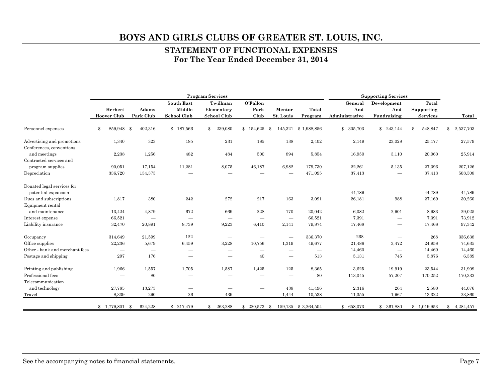#### **STATEMENT OF FUNCTIONAL EXPENSES For The Year Ended December 31, 2014**

|                                |                    | <b>Program Services</b>  |                               |                          |                                 |                                 |                     | <b>Supporting Services</b> |                              |                 |                         |
|--------------------------------|--------------------|--------------------------|-------------------------------|--------------------------|---------------------------------|---------------------------------|---------------------|----------------------------|------------------------------|-----------------|-------------------------|
|                                |                    |                          | South East                    | Twillman                 | O'Fallon                        |                                 |                     | General                    | Development                  | Total           |                         |
|                                | Herbert            | Adams                    | Middle                        | Elementary               | Park                            | Mentor                          | Total               | And                        | And                          | Supporting      |                         |
|                                | <b>Hoover Club</b> | Park Club                | <b>School Club</b>            | <b>School Club</b>       | Club                            | St. Louis                       | Program             | Administrative             | Fundraising                  | <b>Services</b> | Total                   |
| Personnel expenses             | \$<br>859,948 \$   | 402,316                  | \$187,566                     | 239,080<br>$\mathbf{\$}$ | $$154,625$ \$                   |                                 | 145,321 \$1,988,856 | \$305,703                  | \$243,144                    | 548,847<br>\$   | 2,537,703<br>\$         |
| Advertising and promotions     | 1,340              | 323                      | 185                           | 231                      | 185                             | 138                             | 2,402               | 2,149                      | 23,028                       | 25,177          | 27,579                  |
| Conferences, conventions       |                    |                          |                               |                          |                                 |                                 |                     |                            |                              |                 |                         |
| and meetings                   | 2,238              | 1,256                    | 482                           | 484                      | 500                             | 894                             | 5,854               | 16,950                     | 3,110                        | 20,060          | 25,914                  |
| Contracted services and        |                    |                          |                               |                          |                                 |                                 |                     |                            |                              |                 |                         |
| program supplies               | 90,051             | 17,154                   | 11,281                        | 8,075                    | 46,187                          | 6,982                           | 179,730             | 22,261                     | 5,135                        | 27,396          | 207,126                 |
| Depreciation                   | 336,720            | 134,375                  |                               |                          |                                 | $\overline{\phantom{0}}$        | 471,095             | 37,413                     |                              | 37,413          | 508,508                 |
| Donated legal services for     |                    |                          |                               |                          |                                 |                                 |                     |                            |                              |                 |                         |
| potential expansion            |                    |                          |                               |                          |                                 |                                 |                     | 44,789                     |                              | 44,789          | 44,789                  |
| Dues and subscriptions         | 1,817              | 380                      | 242                           | $\sqrt{272}$             | 217                             | 163                             | 3,091               | 26,181                     | 988                          | 27,169          | 30,260                  |
| Equipment rental               |                    |                          |                               |                          |                                 |                                 |                     |                            |                              |                 |                         |
| and maintenance                | 13,424             | 4,879                    | 672                           | 669                      | 228                             | 170                             | 20,042              | 6,082                      | 2,901                        | 8,983           | 29,025                  |
| Interest expense               | 66,521             | $\overline{\phantom{m}}$ | $\overbrace{\phantom{aaaaa}}$ |                          | $\overline{\phantom{m}}$        | $\overline{\phantom{0}}$        | 66,521              | 7,391                      |                              | 7,391           | 73,912                  |
| Liability insurance            | 32,470             | 20,891                   | 8,739                         | 9,223                    | 6,410                           | 2,141                           | 79,874              | 17,468                     |                              | 17,468          | 97,342                  |
| Occupancy                      | 314,649            | 21,599                   | 122                           |                          | $\hspace{0.1mm}-\hspace{0.1mm}$ | $\overline{\phantom{m}}$        | 336,370             | 268                        | $\overline{\phantom{0}}$     | 268             | 336,638                 |
| Office supplies                | 22,236             | 5,679                    | 6,459                         | 3,228                    | 10,756                          | 1,319                           | 49,677              | 21,486                     | 3,472                        | 24,958          | 74,635                  |
| Other - bank and merchant fees |                    | $\overline{\phantom{m}}$ | $\overline{\phantom{0}}$      |                          | $\overline{\phantom{m}}$        |                                 | $\hspace{0.05cm}$   | 14,460                     | $\overbrace{\qquad \qquad }$ | 14,460          | 14,460                  |
| Postage and shipping           | 297                | 176                      |                               | $\overline{\phantom{a}}$ | 40                              | $\overline{\phantom{m}}$        | 513                 | 5,131                      | 745                          | 5,876           | 6,389                   |
| Printing and publishing        | 1,966              | 1,557                    | 1,705                         | 1,587                    | 1,425                           | $125\,$                         | 8,365               | 3,625                      | 19,919                       | 23,544          | 31,909                  |
| Professional fees              |                    | 80                       | $\overline{\phantom{0}}$      |                          | $\overline{\phantom{0}}$        |                                 | 80                  | 113,045                    | 57,207                       | 170,252         | 170,332                 |
| Telecommunication              |                    |                          |                               |                          |                                 |                                 |                     |                            |                              |                 |                         |
| and technology                 | 27,785             | 13,273                   | $\overline{\phantom{m}}$      |                          |                                 | 438                             | 41,496              | 2,316                      | 264                          | 2,580           | 44,076                  |
| Travel                         | 8,339              | 290                      | 26                            | 439                      |                                 | 1,444                           | 10,538              | 11,355                     | 1,967                        | 13,322          | 23,860                  |
|                                | $$1,779,801$ \$    | 624,228                  | \$217,479                     | \$263,288                |                                 | \$220,573 \$159,135 \$3,264,504 |                     | \$658,073                  | \$ 361,880                   | \$1,019,953     | 4,284,457<br>$^{\circ}$ |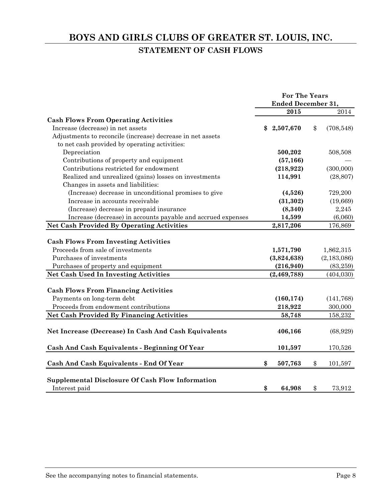# **BOYS AND GIRLS CLUBS OF GREATER ST. LOUIS, INC. STATEMENT OF CASH FLOWS**

|                                                              | <b>For The Years</b>      |                  |
|--------------------------------------------------------------|---------------------------|------------------|
|                                                              | <b>Ended December 31,</b> |                  |
|                                                              | 2015                      | 2014             |
| <b>Cash Flows From Operating Activities</b>                  |                           |                  |
| Increase (decrease) in net assets                            | \$<br>2,507,670           | \$<br>(708, 548) |
| Adjustments to reconcile (increase) decrease in net assets   |                           |                  |
| to net cash provided by operating activities:                |                           |                  |
| Depreciation                                                 | 500,202                   | 508,508          |
| Contributions of property and equipment                      | (57, 166)                 |                  |
| Contributions restricted for endowment                       | (218, 922)                | (300,000)        |
| Realized and unrealized (gains) losses on investments        | 114,991                   | (28, 807)        |
| Changes in assets and liabilities:                           |                           |                  |
| (Increase) decrease in unconditional promises to give        | (4,526)                   | 729,200          |
| Increase in accounts receivable                              | (31, 302)                 | (19, 669)        |
| (Increase) decrease in prepaid insurance                     | (8,340)                   | 2,245            |
| Increase (decrease) in accounts payable and accrued expenses | 14,599                    | (6,060)          |
| <b>Net Cash Provided By Operating Activities</b>             | 2,817,206                 | 176,869          |
|                                                              |                           |                  |
| <b>Cash Flows From Investing Activities</b>                  |                           |                  |
| Proceeds from sale of investments                            | 1,571,790                 | 1,862,315        |
| Purchases of investments                                     | (3,824,638)               | (2, 183, 086)    |
| Purchases of property and equipment                          | (216, 940)                | (83, 259)        |
| <b>Net Cash Used In Investing Activities</b>                 | (2,469,788)               | (404, 030)       |
|                                                              |                           |                  |
| <b>Cash Flows From Financing Activities</b>                  |                           |                  |
| Payments on long-term debt                                   | (160, 174)                | (141, 768)       |
| Proceeds from endowment contributions                        | 218,922                   | 300,000          |
| <b>Net Cash Provided By Financing Activities</b>             | 58,748                    | 158,232          |
|                                                              |                           |                  |
| Net Increase (Decrease) In Cash And Cash Equivalents         | 406,166                   | (68,929)         |
| <b>Cash And Cash Equivalents - Beginning Of Year</b>         | 101,597                   | 170,526          |
|                                                              |                           |                  |
| <b>Cash And Cash Equivalents - End Of Year</b>               | \$<br>507,763             | \$<br>101,597    |
| Supplemental Disclosure Of Cash Flow Information             |                           |                  |
| Interest paid                                                | \$<br>64,908              | \$<br>73,912     |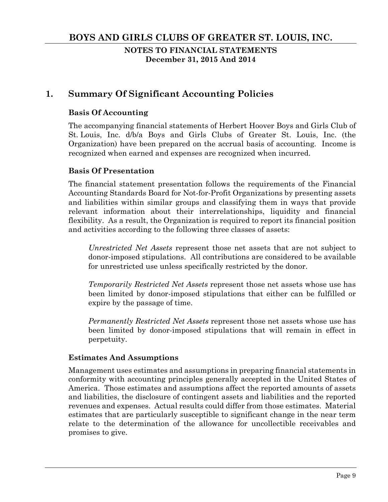**NOTES TO FINANCIAL STATEMENTS December 31, 2015 And 2014** 

# **1. Summary Of Significant Accounting Policies**

## **Basis Of Accounting**

The accompanying financial statements of Herbert Hoover Boys and Girls Club of St. Louis, Inc. d/b/a Boys and Girls Clubs of Greater St. Louis, Inc. (the Organization) have been prepared on the accrual basis of accounting. Income is recognized when earned and expenses are recognized when incurred.

### **Basis Of Presentation**

The financial statement presentation follows the requirements of the Financial Accounting Standards Board for Not-for-Profit Organizations by presenting assets and liabilities within similar groups and classifying them in ways that provide relevant information about their interrelationships, liquidity and financial flexibility. As a result, the Organization is required to report its financial position and activities according to the following three classes of assets:

*Unrestricted Net Assets* represent those net assets that are not subject to donor-imposed stipulations. All contributions are considered to be available for unrestricted use unless specifically restricted by the donor.

*Temporarily Restricted Net Assets* represent those net assets whose use has been limited by donor-imposed stipulations that either can be fulfilled or expire by the passage of time.

*Permanently Restricted Net Assets* represent those net assets whose use has been limited by donor-imposed stipulations that will remain in effect in perpetuity.

### **Estimates And Assumptions**

Management uses estimates and assumptions in preparing financial statements in conformity with accounting principles generally accepted in the United States of America. Those estimates and assumptions affect the reported amounts of assets and liabilities, the disclosure of contingent assets and liabilities and the reported revenues and expenses. Actual results could differ from those estimates. Material estimates that are particularly susceptible to significant change in the near term relate to the determination of the allowance for uncollectible receivables and promises to give.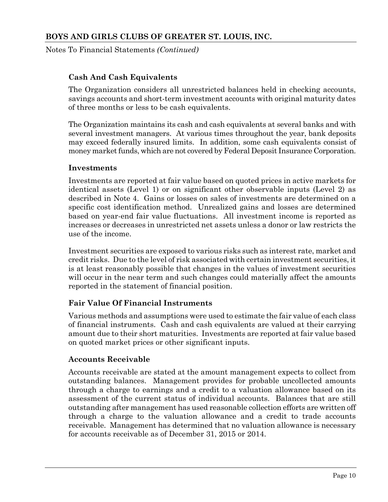Notes To Financial Statements *(Continued)*

## **Cash And Cash Equivalents**

The Organization considers all unrestricted balances held in checking accounts, savings accounts and short-term investment accounts with original maturity dates of three months or less to be cash equivalents.

The Organization maintains its cash and cash equivalents at several banks and with several investment managers. At various times throughout the year, bank deposits may exceed federally insured limits. In addition, some cash equivalents consist of money market funds, which are not covered by Federal Deposit Insurance Corporation.

### **Investments**

Investments are reported at fair value based on quoted prices in active markets for identical assets (Level 1) or on significant other observable inputs (Level 2) as described in Note 4. Gains or losses on sales of investments are determined on a specific cost identification method. Unrealized gains and losses are determined based on year-end fair value fluctuations. All investment income is reported as increases or decreases in unrestricted net assets unless a donor or law restricts the use of the income.

Investment securities are exposed to various risks such as interest rate, market and credit risks. Due to the level of risk associated with certain investment securities, it is at least reasonably possible that changes in the values of investment securities will occur in the near term and such changes could materially affect the amounts reported in the statement of financial position.

### **Fair Value Of Financial Instruments**

Various methods and assumptions were used to estimate the fair value of each class of financial instruments. Cash and cash equivalents are valued at their carrying amount due to their short maturities. Investments are reported at fair value based on quoted market prices or other significant inputs.

### **Accounts Receivable**

Accounts receivable are stated at the amount management expects to collect from outstanding balances. Management provides for probable uncollected amounts through a charge to earnings and a credit to a valuation allowance based on its assessment of the current status of individual accounts. Balances that are still outstanding after management has used reasonable collection efforts are written off through a charge to the valuation allowance and a credit to trade accounts receivable. Management has determined that no valuation allowance is necessary for accounts receivable as of December 31, 2015 or 2014.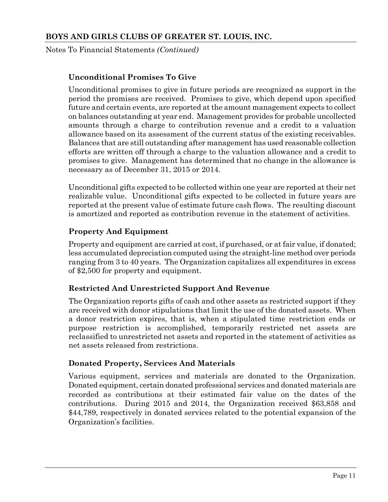Notes To Financial Statements *(Continued)*

## **Unconditional Promises To Give**

Unconditional promises to give in future periods are recognized as support in the period the promises are received. Promises to give, which depend upon specified future and certain events, are reported at the amount management expects to collect on balances outstanding at year end. Management provides for probable uncollected amounts through a charge to contribution revenue and a credit to a valuation allowance based on its assessment of the current status of the existing receivables. Balances that are still outstanding after management has used reasonable collection efforts are written off through a charge to the valuation allowance and a credit to promises to give. Management has determined that no change in the allowance is necessary as of December 31, 2015 or 2014.

Unconditional gifts expected to be collected within one year are reported at their net realizable value. Unconditional gifts expected to be collected in future years are reported at the present value of estimate future cash flows. The resulting discount is amortized and reported as contribution revenue in the statement of activities.

## **Property And Equipment**

Property and equipment are carried at cost, if purchased, or at fair value, if donated; less accumulated depreciation computed using the straight-line method over periods ranging from 3 to 40 years. The Organization capitalizes all expenditures in excess of \$2,500 for property and equipment.

### **Restricted And Unrestricted Support And Revenue**

The Organization reports gifts of cash and other assets as restricted support if they are received with donor stipulations that limit the use of the donated assets. When a donor restriction expires, that is, when a stipulated time restriction ends or purpose restriction is accomplished, temporarily restricted net assets are reclassified to unrestricted net assets and reported in the statement of activities as net assets released from restrictions.

### **Donated Property, Services And Materials**

Various equipment, services and materials are donated to the Organization. Donated equipment, certain donated professional services and donated materials are recorded as contributions at their estimated fair value on the dates of the contributions. During 2015 and 2014, the Organization received \$63,858 and \$44,789, respectively in donated services related to the potential expansion of the Organization's facilities.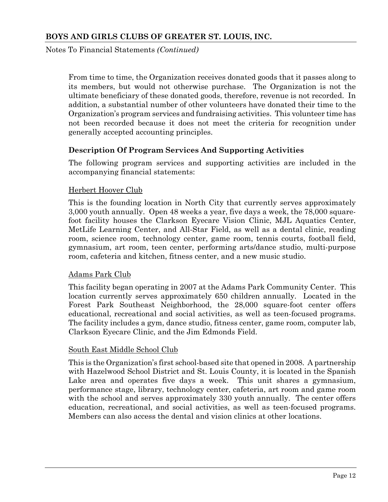Notes To Financial Statements *(Continued)*

From time to time, the Organization receives donated goods that it passes along to its members, but would not otherwise purchase. The Organization is not the ultimate beneficiary of these donated goods, therefore, revenue is not recorded. In addition, a substantial number of other volunteers have donated their time to the Organization's program services and fundraising activities. This volunteer time has not been recorded because it does not meet the criteria for recognition under generally accepted accounting principles.

### **Description Of Program Services And Supporting Activities**

The following program services and supporting activities are included in the accompanying financial statements:

#### Herbert Hoover Club

This is the founding location in North City that currently serves approximately 3,000 youth annually. Open 48 weeks a year, five days a week, the 78,000 squarefoot facility houses the Clarkson Eyecare Vision Clinic, MJL Aquatics Center, MetLife Learning Center, and All-Star Field, as well as a dental clinic, reading room, science room, technology center, game room, tennis courts, football field, gymnasium, art room, teen center, performing arts/dance studio, multi-purpose room, cafeteria and kitchen, fitness center, and a new music studio.

#### Adams Park Club

This facility began operating in 2007 at the Adams Park Community Center. This location currently serves approximately 650 children annually. Located in the Forest Park Southeast Neighborhood, the 28,000 square-foot center offers educational, recreational and social activities, as well as teen-focused programs. The facility includes a gym, dance studio, fitness center, game room, computer lab, Clarkson Eyecare Clinic, and the Jim Edmonds Field.

#### South East Middle School Club

This is the Organization's first school-based site that opened in 2008. A partnership with Hazelwood School District and St. Louis County, it is located in the Spanish Lake area and operates five days a week. This unit shares a gymnasium, performance stage, library, technology center, cafeteria, art room and game room with the school and serves approximately 330 youth annually. The center offers education, recreational, and social activities, as well as teen-focused programs. Members can also access the dental and vision clinics at other locations.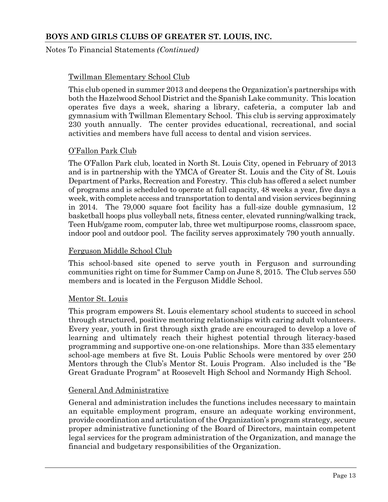#### Notes To Financial Statements *(Continued)*

### Twillman Elementary School Club

This club opened in summer 2013 and deepens the Organization's partnerships with both the Hazelwood School District and the Spanish Lake community. This location operates five days a week, sharing a library, cafeteria, a computer lab and gymnasium with Twillman Elementary School. This club is serving approximately 230 youth annually. The center provides educational, recreational, and social activities and members have full access to dental and vision services.

#### O'Fallon Park Club

The O'Fallon Park club, located in North St. Louis City, opened in February of 2013 and is in partnership with the YMCA of Greater St. Louis and the City of St. Louis Department of Parks, Recreation and Forestry. This club has offered a select number of programs and is scheduled to operate at full capacity, 48 weeks a year, five days a week, with complete access and transportation to dental and vision services beginning in 2014. The 79,000 square foot facility has a full-size double gymnasium, 12 basketball hoops plus volleyball nets, fitness center, elevated running/walking track, Teen Hub/game room, computer lab, three wet multipurpose rooms, classroom space, indoor pool and outdoor pool. The facility serves approximately 790 youth annually.

#### Ferguson Middle School Club

This school-based site opened to serve youth in Ferguson and surrounding communities right on time for Summer Camp on June 8, 2015. The Club serves 550 members and is located in the Ferguson Middle School.

#### Mentor St. Louis

This program empowers St. Louis elementary school students to succeed in school through structured, positive mentoring relationships with caring adult volunteers. Every year, youth in first through sixth grade are encouraged to develop a love of learning and ultimately reach their highest potential through literacy-based programming and supportive one-on-one relationships. More than 335 elementary school-age members at five St. Louis Public Schools were mentored by over 250 Mentors through the Club's Mentor St. Louis Program. Also included is the "Be Great Graduate Program" at Roosevelt High School and Normandy High School.

#### General And Administrative

General and administration includes the functions includes necessary to maintain an equitable employment program, ensure an adequate working environment, provide coordination and articulation of the Organization's program strategy, secure proper administrative functioning of the Board of Directors, maintain competent legal services for the program administration of the Organization, and manage the financial and budgetary responsibilities of the Organization.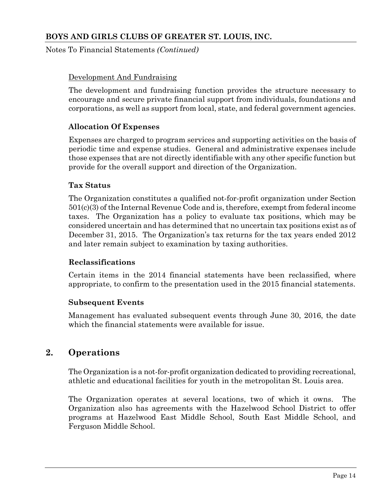Notes To Financial Statements *(Continued)*

### Development And Fundraising

The development and fundraising function provides the structure necessary to encourage and secure private financial support from individuals, foundations and corporations, as well as support from local, state, and federal government agencies.

## **Allocation Of Expenses**

Expenses are charged to program services and supporting activities on the basis of periodic time and expense studies. General and administrative expenses include those expenses that are not directly identifiable with any other specific function but provide for the overall support and direction of the Organization.

### **Tax Status**

The Organization constitutes a qualified not-for-profit organization under Section 501(c)(3) of the Internal Revenue Code and is, therefore, exempt from federal income taxes. The Organization has a policy to evaluate tax positions, which may be considered uncertain and has determined that no uncertain tax positions exist as of December 31, 2015. The Organization's tax returns for the tax years ended 2012 and later remain subject to examination by taxing authorities.

### **Reclassifications**

Certain items in the 2014 financial statements have been reclassified, where appropriate, to confirm to the presentation used in the 2015 financial statements.

### **Subsequent Events**

Management has evaluated subsequent events through June 30, 2016, the date which the financial statements were available for issue.

## **2. Operations**

The Organization is a not-for-profit organization dedicated to providing recreational, athletic and educational facilities for youth in the metropolitan St. Louis area.

The Organization operates at several locations, two of which it owns. The Organization also has agreements with the Hazelwood School District to offer programs at Hazelwood East Middle School, South East Middle School, and Ferguson Middle School.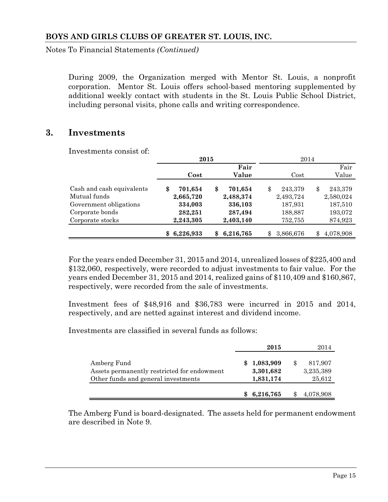Notes To Financial Statements *(Continued)*

During 2009, the Organization merged with Mentor St. Louis, a nonprofit corporation. Mentor St. Louis offers school-based mentoring supplemented by additional weekly contact with students in the St. Louis Public School District, including personal visits, phone calls and writing correspondence.

## **3. Investments**

Investments consist of:

|                           | 2015          |                 | 2014            |                  |
|---------------------------|---------------|-----------------|-----------------|------------------|
|                           |               | Fair            |                 | Fair             |
|                           | Cost          | Value           | Cost            | Value            |
| Cash and cash equivalents | \$<br>701,654 | \$<br>701,654   | \$<br>243,379   | 243,379<br>\$    |
| Mutual funds              | 2,665,720     | 2,488,374       | 2,493,724       | 2,580,024        |
| Government obligations    | 334,003       | 336,103         | 187,931         | 187,510          |
| Corporate bonds           | 282,251       | 287,494         | 188,887         | 193,072          |
| Corporate stocks          | 2,243,305     | 2,403,140       | 752,755         | 874,923          |
|                           | 6,226,933     | \$<br>6,216,765 | \$<br>3,866,676 | 4,078,908<br>\$. |

For the years ended December 31, 2015 and 2014, unrealized losses of \$225,400 and \$132,060, respectively, were recorded to adjust investments to fair value. For the years ended December 31, 2015 and 2014, realized gains of \$110,409 and \$160,867, respectively, were recorded from the sale of investments.

Investment fees of \$48,916 and \$36,783 were incurred in 2015 and 2014, respectively, and are netted against interest and dividend income.

Investments are classified in several funds as follows:

|                                                                                                   | 2015                                |   | 2014                           |
|---------------------------------------------------------------------------------------------------|-------------------------------------|---|--------------------------------|
| Amberg Fund<br>Assets permanently restricted for endowment<br>Other funds and general investments | 1,083,909<br>3,301,682<br>1,831,174 | S | 817,907<br>3,235,389<br>25,612 |
|                                                                                                   | 6,216,765                           |   | 4,078,908                      |

The Amberg Fund is board-designated. The assets held for permanent endowment are described in Note 9.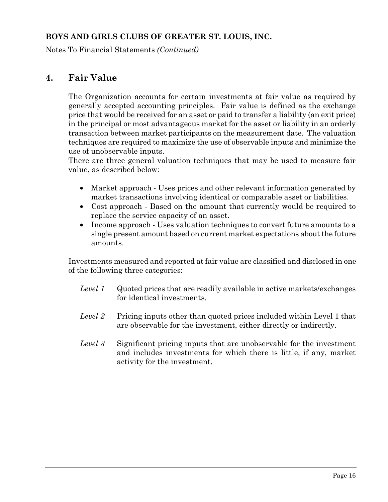Notes To Financial Statements *(Continued)*

## **4. Fair Value**

The Organization accounts for certain investments at fair value as required by generally accepted accounting principles. Fair value is defined as the exchange price that would be received for an asset or paid to transfer a liability (an exit price) in the principal or most advantageous market for the asset or liability in an orderly transaction between market participants on the measurement date. The valuation techniques are required to maximize the use of observable inputs and minimize the use of unobservable inputs.

There are three general valuation techniques that may be used to measure fair value, as described below:

- Market approach Uses prices and other relevant information generated by market transactions involving identical or comparable asset or liabilities.
- Cost approach Based on the amount that currently would be required to replace the service capacity of an asset.
- Income approach Uses valuation techniques to convert future amounts to a single present amount based on current market expectations about the future amounts.

Investments measured and reported at fair value are classified and disclosed in one of the following three categories:

- *Level 1* Quoted prices that are readily available in active markets/exchanges for identical investments.
- *Level 2* Pricing inputs other than quoted prices included within Level 1 that are observable for the investment, either directly or indirectly.
- *Level 3* Significant pricing inputs that are unobservable for the investment and includes investments for which there is little, if any, market activity for the investment.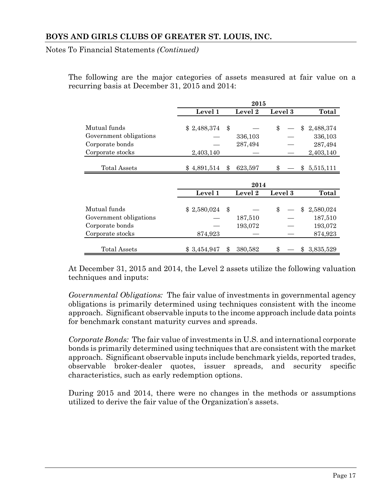Notes To Financial Statements *(Continued)*

The following are the major categories of assets measured at fair value on a recurring basis at December 31, 2015 and 2014:

|                        |             |               | 2015    |         |    |           |
|------------------------|-------------|---------------|---------|---------|----|-----------|
|                        | Level 1     |               | Level 2 | Level 3 |    | Total     |
|                        |             |               |         |         |    |           |
| Mutual funds           | \$2,488,374 | $\mathbf{\$}$ |         | \$      | \$ | 2,488,374 |
| Government obligations |             |               | 336,103 |         |    | 336,103   |
| Corporate bonds        |             |               | 287,494 |         |    | 287,494   |
| Corporate stocks       | 2,403,140   |               |         |         |    | 2,403,140 |
|                        |             |               |         |         |    |           |
| Total Assets           | \$4,891,514 | \$            | 623,597 | \$      | \$ | 5,515,111 |
|                        |             |               |         |         |    |           |
|                        |             |               | 2014    |         |    |           |
|                        | Level 1     |               | Level 2 | Level 3 |    | Total     |
|                        |             |               |         |         |    |           |
| Mutual funds           | \$2,580,024 | $\mathbf{\$}$ |         | \$      | \$ | 2,580,024 |
|                        |             |               |         |         |    |           |
| Government obligations |             |               | 187,510 |         |    | 187,510   |
| Corporate bonds        |             |               | 193,072 |         |    | 193,072   |
| Corporate stocks       | 874,923     |               |         |         |    | 874,923   |
|                        |             |               |         |         |    |           |

At December 31, 2015 and 2014, the Level 2 assets utilize the following valuation techniques and inputs:

*Governmental Obligations:* The fair value of investments in governmental agency obligations is primarily determined using techniques consistent with the income approach. Significant observable inputs to the income approach include data points for benchmark constant maturity curves and spreads.

*Corporate Bonds:* The fair value of investments in U.S. and international corporate bonds is primarily determined using techniques that are consistent with the market approach. Significant observable inputs include benchmark yields, reported trades, observable broker-dealer quotes, issuer spreads, and security specific characteristics, such as early redemption options.

During 2015 and 2014, there were no changes in the methods or assumptions utilized to derive the fair value of the Organization's assets.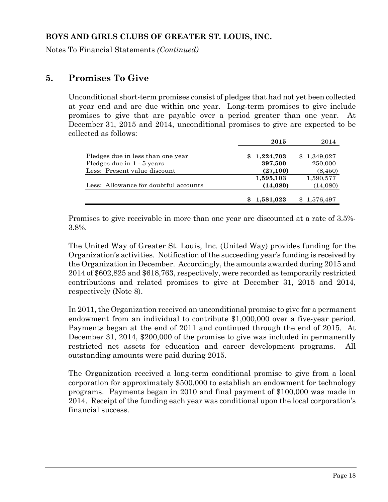Notes To Financial Statements *(Continued)*

## **5. Promises To Give**

Unconditional short-term promises consist of pledges that had not yet been collected at year end and are due within one year. Long-term promises to give include promises to give that are payable over a period greater than one year. At December 31, 2015 and 2014, unconditional promises to give are expected to be collected as follows: **2015** 2014

|                                       | 2019      | 40 I 4      |
|---------------------------------------|-----------|-------------|
| Pledges due in less than one year     | 1,224,703 | \$1,349,027 |
| Pledges due in 1 - 5 years            | 397,500   | 250,000     |
| Less: Present value discount          | (27, 100) | (8, 450)    |
|                                       | 1,595,103 | 1,590,577   |
| Less: Allowance for doubtful accounts | (14,080)  | (14,080)    |
|                                       | 1,581,023 | 1,576,497   |

Promises to give receivable in more than one year are discounted at a rate of 3.5%- 3.8%.

The United Way of Greater St. Louis, Inc. (United Way) provides funding for the Organization's activities. Notification of the succeeding year's funding is received by the Organization in December. Accordingly, the amounts awarded during 2015 and 2014 of \$602,825 and \$618,763, respectively, were recorded as temporarily restricted contributions and related promises to give at December 31, 2015 and 2014, respectively (Note 8).

In 2011, the Organization received an unconditional promise to give for a permanent endowment from an individual to contribute \$1,000,000 over a five-year period. Payments began at the end of 2011 and continued through the end of 2015. At December 31, 2014, \$200,000 of the promise to give was included in permanently restricted net assets for education and career development programs. All outstanding amounts were paid during 2015.

The Organization received a long-term conditional promise to give from a local corporation for approximately \$500,000 to establish an endowment for technology programs. Payments began in 2010 and final payment of \$100,000 was made in 2014. Receipt of the funding each year was conditional upon the local corporation's financial success.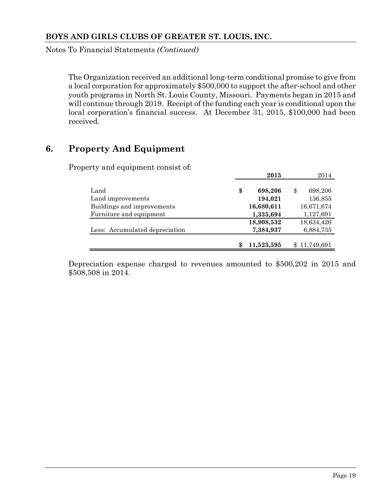Notes To Financial Statements *(Continued)*

The Organization received an additional long-term conditional promise to give from a local corporation for approximately \$500,000 to support the after-school and other youth programs in North St. Louis County, Missouri. Payments began in 2015 and will continue through 2019. Receipt of the funding each year is conditional upon the local corporation's financial success. At December 31, 2015, \$100,000 had been received.

## **6. Property And Equipment**

Property and equipment consist of:

|                                | 2015             | 2014          |
|--------------------------------|------------------|---------------|
|                                |                  |               |
| Land                           | \$<br>698,206    | \$<br>698,206 |
| Land improvements              | 194,021          | 136,855       |
| Buildings and improvements     | 16,680,611       | 16,671,674    |
| Furniture and equipment        | 1,335,694        | 1,127,691     |
|                                | 18,908,532       | 18,634,426    |
| Less: Accumulated depreciation | 7,384,937        | 6,884,735     |
|                                |                  |               |
|                                | \$<br>11,523,595 | \$11,749,691  |

Depreciation expense charged to revenues amounted to \$500,202 in 2015 and \$508,508 in 2014.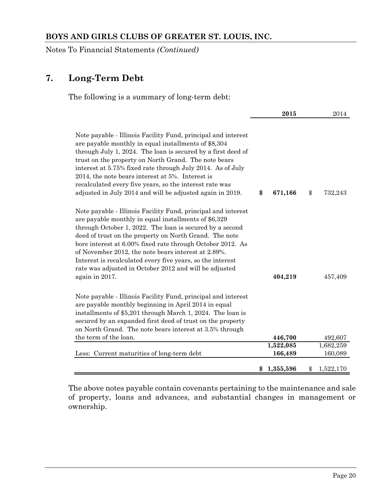Notes To Financial Statements *(Continued)*

## **7. Long-Term Debt**

The following is a summary of long-term debt:

|                                                                                                                                                                                                                                                                                                                                                                                                                                                                                                            | 2015                 | 2014                 |
|------------------------------------------------------------------------------------------------------------------------------------------------------------------------------------------------------------------------------------------------------------------------------------------------------------------------------------------------------------------------------------------------------------------------------------------------------------------------------------------------------------|----------------------|----------------------|
| Note payable - Illinois Facility Fund, principal and interest<br>are payable monthly in equal installments of \$8,304<br>through July 1, 2024. The loan is secured by a first deed of<br>trust on the property on North Grand. The note bears<br>interest at 5.75% fixed rate through July 2014. As of July<br>2014, the note bears interest at 5%. Interest is<br>recalculated every five years, so the interest rate was<br>adjusted in July 2014 and will be adjusted again in 2019.                    | \$<br>671,166        | \$<br>732,243        |
| Note payable - Illinois Facility Fund, principal and interest<br>are payable monthly in equal installments of \$6,329<br>through October 1, 2022. The loan is secured by a second<br>deed of trust on the property on North Grand. The note<br>bore interest at 6.00% fixed rate through October 2012. As<br>of November 2012, the note bears interest at 2.89%.<br>Interest is recalculated every five years, so the interest<br>rate was adjusted in October 2012 and will be adjusted<br>again in 2017. | 404,219              | 457,409              |
| Note payable - Illinois Facility Fund, principal and interest<br>are payable monthly beginning in April 2014 in equal<br>installments of \$5,201 through March 1, 2024. The loan is<br>secured by an expanded first deed of trust on the property<br>on North Grand. The note bears interest at 3.5% through                                                                                                                                                                                               |                      |                      |
| the term of the loan.                                                                                                                                                                                                                                                                                                                                                                                                                                                                                      | 446,700<br>1,522,085 | 492,607<br>1,682,259 |
| Less: Current maturities of long-term debt                                                                                                                                                                                                                                                                                                                                                                                                                                                                 | 166,489              | 160,089              |
|                                                                                                                                                                                                                                                                                                                                                                                                                                                                                                            | 1,355,596<br>\$      | 1,522,170<br>\$      |

The above notes payable contain covenants pertaining to the maintenance and sale of property, loans and advances, and substantial changes in management or ownership.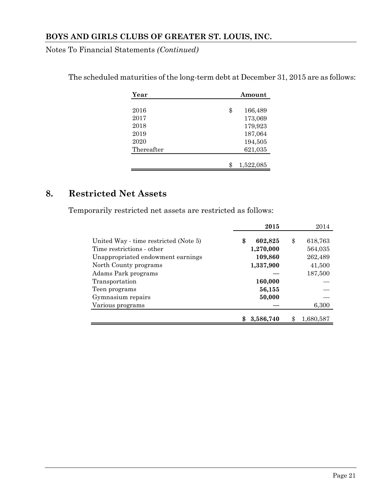Notes To Financial Statements *(Continued)*

| Year       | Amount          |
|------------|-----------------|
|            |                 |
| 2016       | \$<br>166,489   |
| 2017       | 173,069         |
| 2018       | 179,923         |
| 2019       | 187,064         |
| 2020       | 194,505         |
| Thereafter | 621,035         |
|            |                 |
|            | \$<br>1,522,085 |

The scheduled maturities of the long-term debt at December 31, 2015 are as follows:

# **8. Restricted Net Assets**

Temporarily restricted net assets are restricted as follows:

|                                                                                                         | 2015                                  | 2014                                |
|---------------------------------------------------------------------------------------------------------|---------------------------------------|-------------------------------------|
| United Way - time restricted (Note 5)<br>Time restrictions - other<br>Unappropriated endowment earnings | 602,825<br>\$<br>1,270,000<br>109,860 | \$<br>618,763<br>564,035<br>262,489 |
| North County programs                                                                                   | 1,337,900                             | 41,500                              |
| Adams Park programs                                                                                     |                                       | 187,500                             |
| Transportation                                                                                          | 160,000                               |                                     |
| Teen programs                                                                                           | 56,155                                |                                     |
| Gymnasium repairs                                                                                       | 50,000                                |                                     |
| Various programs                                                                                        |                                       | 6,300                               |
|                                                                                                         | 3,586,740                             | \$<br>1,680,587                     |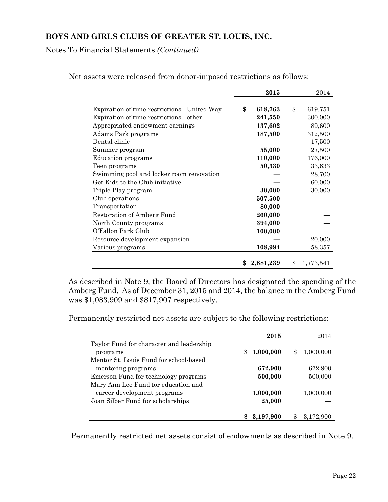Notes To Financial Statements *(Continued)*

|                                              | 2015            | 2014            |
|----------------------------------------------|-----------------|-----------------|
|                                              |                 |                 |
| Expiration of time restrictions - United Way | \$<br>618,763   | \$<br>619,751   |
| Expiration of time restrictions - other      | 241,550         | 300,000         |
| Appropriated endowment earnings              | 137,602         | 89,600          |
| Adams Park programs                          | 187,500         | 312,500         |
| Dental clinic                                |                 | 17,500          |
| Summer program                               | 55,000          | 27,500          |
| <b>Education</b> programs                    | 110,000         | 176,000         |
| Teen programs                                | 50,330          | 33,633          |
| Swimming pool and locker room renovation     |                 | 28,700          |
| Get Kids to the Club initiative              |                 | 60,000          |
| Triple Play program                          | 30,000          | 30,000          |
| Club operations                              | 507,500         |                 |
| Transportation                               | 80,000          |                 |
| Restoration of Amberg Fund                   | 260,000         |                 |
| North County programs                        | 394,000         |                 |
| O'Fallon Park Club                           | 100,000         |                 |
| Resource development expansion               |                 | 20,000          |
| Various programs                             | 108,994         | 58,357          |
|                                              |                 |                 |
|                                              | 2,881,239<br>\$ | \$<br>1,773,541 |

Net assets were released from donor-imposed restrictions as follows:

As described in Note 9, the Board of Directors has designated the spending of the Amberg Fund. As of December 31, 2015 and 2014, the balance in the Amberg Fund was \$1,083,909 and \$817,907 respectively.

Permanently restricted net assets are subject to the following restrictions:

|                                                      | 2015            | 2014            |
|------------------------------------------------------|-----------------|-----------------|
| Taylor Fund for character and leadership<br>programs | \$<br>1,000,000 | \$<br>1,000,000 |
| Mentor St. Louis Fund for school-based               |                 |                 |
| mentoring programs                                   | 672,900         | 672,900         |
| Emerson Fund for technology programs                 | 500,000         | 500,000         |
| Mary Ann Lee Fund for education and                  |                 |                 |
| career development programs                          | 1,000,000       | 1,000,000       |
| Joan Silber Fund for scholarships                    | 25,000          |                 |
|                                                      |                 |                 |
|                                                      | 3,197,900       | 3,172,900       |

Permanently restricted net assets consist of endowments as described in Note 9.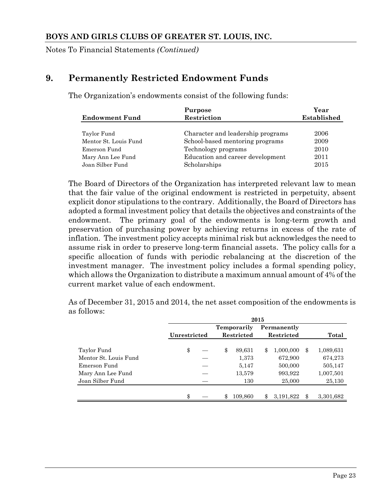Notes To Financial Statements *(Continued)*

## **9. Permanently Restricted Endowment Funds**

The Organization's endowments consist of the following funds:

|                       | Year                              |             |
|-----------------------|-----------------------------------|-------------|
| <b>Endowment Fund</b> | Restriction                       | Established |
|                       |                                   |             |
| Taylor Fund           | Character and leadership programs | 2006        |
| Mentor St. Louis Fund | School-based mentoring programs   | 2009        |
| Emerson Fund          | Technology programs               | 2010        |
| Mary Ann Lee Fund     | Education and career development  | 2011        |
| Joan Silber Fund      | Scholarships                      | 2015        |

The Board of Directors of the Organization has interpreted relevant law to mean that the fair value of the original endowment is restricted in perpetuity, absent explicit donor stipulations to the contrary. Additionally, the Board of Directors has adopted a formal investment policy that details the objectives and constraints of the endowment. The primary goal of the endowments is long-term growth and preservation of purchasing power by achieving returns in excess of the rate of inflation. The investment policy accepts minimal risk but acknowledges the need to assume risk in order to preserve long-term financial assets. The policy calls for a specific allocation of funds with periodic rebalancing at the discretion of the investment manager. The investment policy includes a formal spending policy, which allows the Organization to distribute a maximum annual amount of 4% of the current market value of each endowment.

As of December 31, 2015 and 2014, the net asset composition of the endowments is as follows:

|                       | 2015         |  |            |             |                   |             |    |           |
|-----------------------|--------------|--|------------|-------------|-------------------|-------------|----|-----------|
|                       |              |  |            | Temporarily |                   | Permanently |    |           |
|                       | Unrestricted |  | Restricted |             | <b>Restricted</b> |             |    | Total     |
|                       |              |  |            |             |                   |             |    |           |
| Taylor Fund           | \$           |  | \$         | 89,631      | \$                | 1,000,000   | \$ | 1,089,631 |
| Mentor St. Louis Fund |              |  |            | 1,373       |                   | 672,900     |    | 674,273   |
| Emerson Fund          |              |  |            | 5,147       |                   | 500,000     |    | 505,147   |
| Mary Ann Lee Fund     |              |  |            | 13,579      |                   | 993,922     |    | 1,007,501 |
| Joan Silber Fund      |              |  |            | 130         |                   | 25,000      |    | 25,130    |
|                       |              |  |            |             |                   |             |    |           |
|                       | \$           |  | \$         | 109,860     | \$                | 3,191,822   |    | 3,301,682 |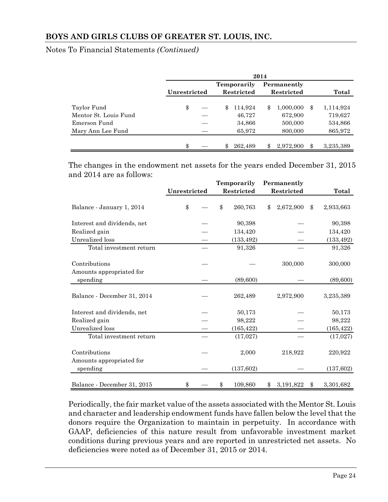Notes To Financial Statements *(Continued)*

|                       | 2014         |  |    |             |    |                   |    |           |
|-----------------------|--------------|--|----|-------------|----|-------------------|----|-----------|
|                       |              |  |    | Temporarily |    | Permanently       |    |           |
|                       | Unrestricted |  |    | Restricted  |    | <b>Restricted</b> |    | Total     |
|                       |              |  |    |             |    |                   |    |           |
| Taylor Fund           | \$           |  | \$ | 114,924     | \$ | 1,000,000         | \$ | 1,114,924 |
| Mentor St. Louis Fund |              |  |    | 46,727      |    | 672,900           |    | 719,627   |
| Emerson Fund          |              |  |    | 34,866      |    | 500,000           |    | 534,866   |
| Mary Ann Lee Fund     |              |  |    | 65,972      |    | 800,000           |    | 865,972   |
|                       |              |  |    |             |    |                   |    |           |
|                       | \$           |  | \$ | 262,489     |    | 2,972,900         |    | 3,235,389 |

The changes in the endowment net assets for the years ended December 31, 2015 and 2014 are as follows:

|                                           |              | Temporarily |            |    | Permanently |                 |
|-------------------------------------------|--------------|-------------|------------|----|-------------|-----------------|
|                                           | Unrestricted |             | Restricted |    | Restricted  | Total           |
| Balance - January 1, 2014                 | \$           | \$          | 260,763    | \$ | 2,672,900   | \$<br>2,933,663 |
| Interest and dividends, net               |              |             | 90,398     |    |             | 90,398          |
| Realized gain                             |              |             | 134,420    |    |             | 134,420         |
| Unrealized loss                           |              |             | (133, 492) |    |             | (133, 492)      |
| Total investment return                   |              |             | 91,326     |    |             | 91,326          |
| Contributions                             |              |             |            |    | 300,000     | 300,000         |
| Amounts appropriated for<br>spending      |              |             | (89, 600)  |    |             | (89,600)        |
| Balance - December 31, 2014               |              |             | 262,489    |    | 2,972,900   | 3,235,389       |
| Interest and dividends, net               |              |             | 50,173     |    |             | 50,173          |
| Realized gain                             |              |             | 98,222     |    |             | 98,222          |
| Unrealized loss                           |              |             | (165, 422) |    |             | (165, 422)      |
| Total investment return                   |              |             | (17, 027)  |    |             | (17, 027)       |
| Contributions<br>Amounts appropriated for |              |             | 2,000      |    | 218,922     | 220,922         |
| spending                                  |              |             | (137, 602) |    |             | (137, 602)      |
| Balance - December 31, 2015               | \$           | \$          | 109,860    | \$ | 3,191,822   | \$<br>3,301,682 |

Periodically, the fair market value of the assets associated with the Mentor St. Louis and character and leadership endowment funds have fallen below the level that the donors require the Organization to maintain in perpetuity. In accordance with GAAP, deficiencies of this nature result from unfavorable investment market conditions during previous years and are reported in unrestricted net assets. No deficiencies were noted as of December 31, 2015 or 2014.